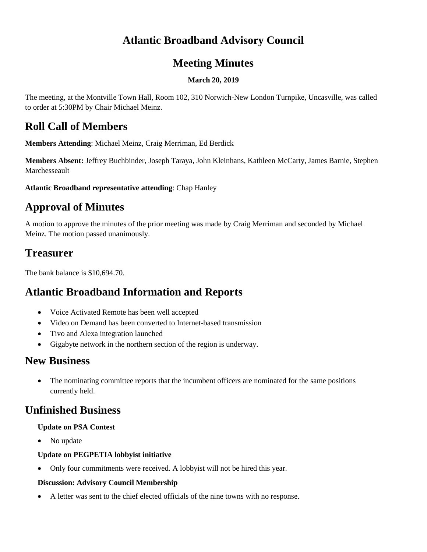## **Atlantic Broadband Advisory Council**

#### **Meeting Minutes**

#### **March 20, 2019**

The meeting, at the Montville Town Hall, Room 102, 310 Norwich-New London Turnpike, Uncasville, was called to order at 5:30PM by Chair Michael Meinz.

### **Roll Call of Members**

**Members Attending**: Michael Meinz, Craig Merriman, Ed Berdick

**Members Absent:** Jeffrey Buchbinder, Joseph Taraya, John Kleinhans, Kathleen McCarty, James Barnie, Stephen Marchesseault

**Atlantic Broadband representative attending**: Chap Hanley

## **Approval of Minutes**

A motion to approve the minutes of the prior meeting was made by Craig Merriman and seconded by Michael Meinz. The motion passed unanimously.

### **Treasurer**

The bank balance is \$10,694.70.

## **Atlantic Broadband Information and Reports**

- Voice Activated Remote has been well accepted
- Video on Demand has been converted to Internet-based transmission
- Tivo and Alexa integration launched
- Gigabyte network in the northern section of the region is underway.

## **New Business**

• The nominating committee reports that the incumbent officers are nominated for the same positions currently held.

## **Unfinished Business**

#### **Update on PSA Contest**

• No update

#### **Update on PEGPETIA lobbyist initiative**

• Only four commitments were received. A lobbyist will not be hired this year.

#### **Discussion: Advisory Council Membership**

• A letter was sent to the chief elected officials of the nine towns with no response.